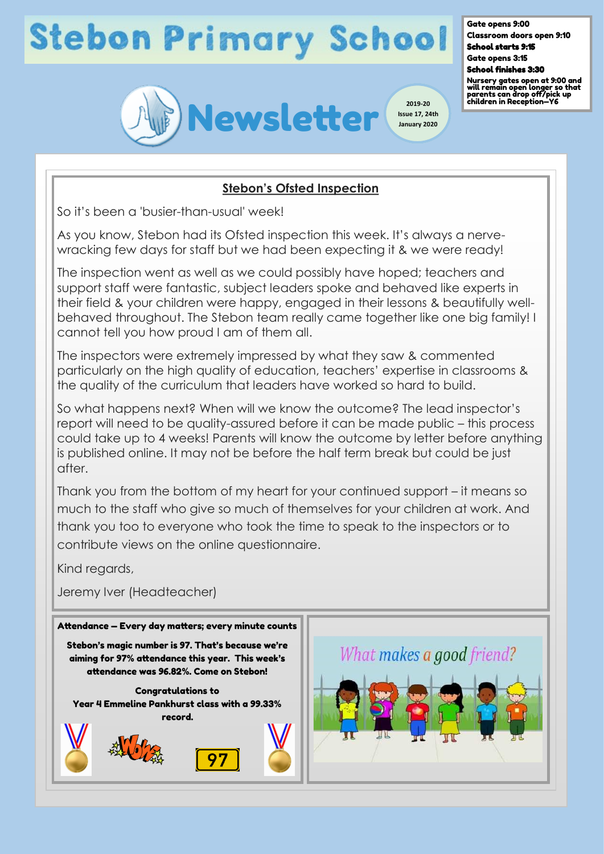# **Stebon Primary School**

Gate opens 9:00

Classroom doors open 9:10 School starts 9:15

Gate opens 3:15 School finishes 3:30

Nursery gates open at 9:00 and will remain open longer so that parents can drop off/pick up children in Reception—Y6



## **Stebon's Ofsted Inspection**

So it's been a 'busier-than-usual' week!

As you know, Stebon had its Ofsted inspection this week. It's always a nervewracking few days for staff but we had been expecting it & we were ready!

The inspection went as well as we could possibly have hoped; teachers and support staff were fantastic, subject leaders spoke and behaved like experts in their field & your children were happy, engaged in their lessons & beautifully wellbehaved throughout. The Stebon team really came together like one big family! I cannot tell you how proud I am of them all.

The inspectors were extremely impressed by what they saw & commented particularly on the high quality of education, teachers' expertise in classrooms & the quality of the curriculum that leaders have worked so hard to build.

So what happens next? When will we know the outcome? The lead inspector's report will need to be quality-assured before it can be made public – this process could take up to 4 weeks! Parents will know the outcome by letter before anything is published online. It may not be before the half term break but could be just after.

Thank you from the bottom of my heart for your continued support – it means so much to the staff who give so much of themselves for your children at work. And thank you too to everyone who took the time to speak to the inspectors or to contribute views on the online questionnaire.

Kind regards,

Jeremy Iver (Headteacher)